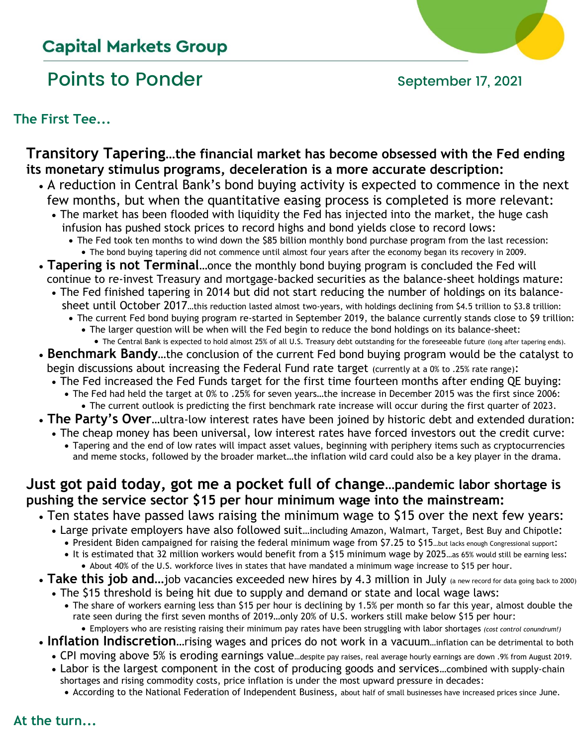## **Capital Markets Group**

# Points to Ponder September 17, 2021



## **The First Tee...**

## **Transitory Tapering…the financial market has become obsessed with the Fed ending its monetary stimulus programs, deceleration is a more accurate description:**

- A reduction in Central Bank's bond buying activity is expected to commence in the next few months, but when the quantitative easing process is completed is more relevant:
	- The market has been flooded with liquidity the Fed has injected into the market, the huge cash infusion has pushed stock prices to record highs and bond yields close to record lows:
		- The Fed took ten months to wind down the \$85 billion monthly bond purchase program from the last recession: • The bond buying tapering did not commence until almost four years after the economy began its recovery in 2009.
- **Tapering is not Terminal**…once the monthly bond buying program is concluded the Fed will continue to re-invest Treasury and mortgage-backed securities as the balance-sheet holdings mature:
	- The Fed finished tapering in 2014 but did not start reducing the number of holdings on its balance sheet until October 2017...this reduction lasted almost two-years, with holdings declining from \$4.5 trillion to \$3.8 trillion:
		- The current Fed bond buying program re-started in September 2019, the balance currently stands close to \$9 trillion: • The larger question will be when will the Fed begin to reduce the bond holdings on its balance-sheet:
			- The Central Bank is expected to hold almost 25% of all U.S. Treasury debt outstanding for the foreseeable future (long after tapering ends).
- **Benchmark Bandy**…the conclusion of the current Fed bond buying program would be the catalyst to begin discussions about increasing the Federal Fund rate target (currently at a 0% to .25% rate range):
	- The Fed increased the Fed Funds target for the first time fourteen months after ending QE buying:
		- The Fed had held the target at 0% to .25% for seven years…the increase in December 2015 was the first since 2006: • The current outlook is predicting the first benchmark rate increase will occur during the first quarter of 2023.
- **The Party's Over**…ultra-low interest rates have been joined by historic debt and extended duration:
	- The cheap money has been universal, low interest rates have forced investors out the credit curve:
		- Tapering and the end of low rates will impact asset values, beginning with periphery items such as cryptocurrencies and meme stocks, followed by the broader market…the inflation wild card could also be a key player in the drama.

## **Just got paid today, got me a pocket full of change…pandemic labor shortage is pushing the service sector \$15 per hour minimum wage into the mainstream:**

- Ten states have passed laws raising the minimum wage to \$15 over the next few years:
	- Large private employers have also followed suit…including Amazon, Walmart, Target, Best Buy and Chipotle:
		- President Biden campaigned for raising the federal minimum wage from \$7.25 to \$15. but lacks enough Congressional support:
		- It is estimated that 32 million workers would benefit from a \$15 minimum wage by 2025…as 65% would still be earning less: • About 40% of the U.S. workforce lives in states that have mandated a minimum wage increase to \$15 per hour.
- Take this job and...job vacancies exceeded new hires by 4.3 million in July (a new record for data going back to 2000)
	- The \$15 threshold is being hit due to supply and demand or state and local wage laws:
		- The share of workers earning less than \$15 per hour is declining by 1.5% per month so far this year, almost double the rate seen during the first seven months of 2019…only 20% of U.S. workers still make below \$15 per hour:
	- Employers who are resisting raising their minimum pay rates have been struggling with labor shortages *(cost control conundrum!)*
- **Inflation Indiscretion**…rising wages and prices do not work in a vacuum…inflation can be detrimental to both
	- CPI moving above 5% is eroding earnings value…despite pay raises, real average hourly earnings are down .9% from August 2019.
	- Labor is the largest component in the cost of producing goods and services…combined with supply-chain shortages and rising commodity costs, price inflation is under the most upward pressure in decades:
		- According to the National Federation of Independent Business, about half of small businesses have increased prices since June.